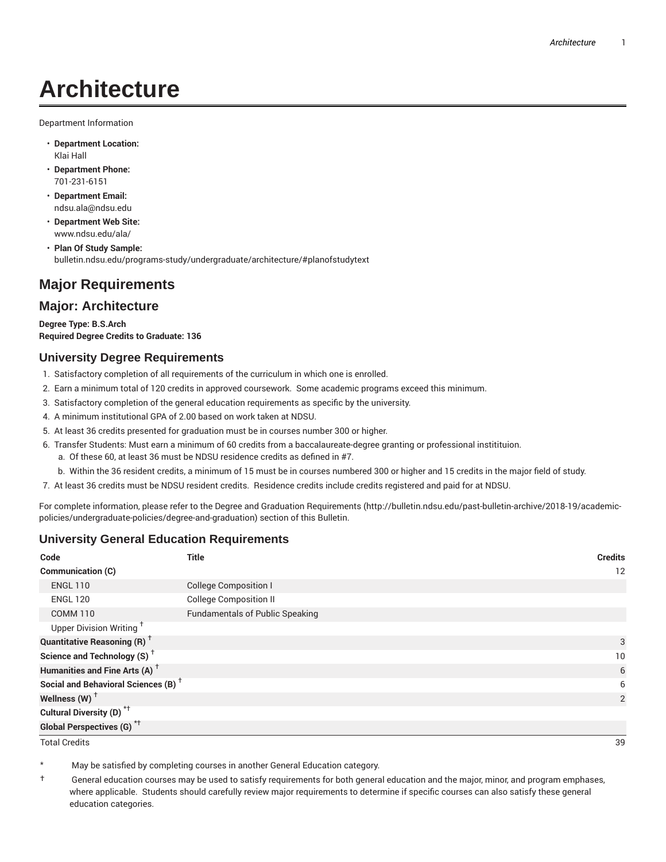# **Architecture**

Department Information

- **Department Location:** Klai Hall
- **Department Phone:** 701-231-6151
- **Department Email:** ndsu.ala@ndsu.edu
- **Department Web Site:** www.ndsu.edu/ala/
- **Plan Of Study Sample:** bulletin.ndsu.edu/programs-study/undergraduate/architecture/#planofstudytext

# **Major Requirements**

## **Major: Architecture**

**Degree Type: B.S.Arch Required Degree Credits to Graduate: 136**

#### **University Degree Requirements**

- 1. Satisfactory completion of all requirements of the curriculum in which one is enrolled.
- 2. Earn a minimum total of 120 credits in approved coursework. Some academic programs exceed this minimum.
- 3. Satisfactory completion of the general education requirements as specific by the university.
- 4. A minimum institutional GPA of 2.00 based on work taken at NDSU.
- 5. At least 36 credits presented for graduation must be in courses number 300 or higher.
- 6. Transfer Students: Must earn a minimum of 60 credits from a baccalaureate-degree granting or professional institituion.
	- a. Of these 60, at least 36 must be NDSU residence credits as defined in #7.
	- b. Within the 36 resident credits, a minimum of 15 must be in courses numbered 300 or higher and 15 credits in the major field of study.
- 7. At least 36 credits must be NDSU resident credits. Residence credits include credits registered and paid for at NDSU.

For complete information, please refer to the Degree and Graduation Requirements (http://bulletin.ndsu.edu/past-bulletin-archive/2018-19/academicpolicies/undergraduate-policies/degree-and-graduation) section of this Bulletin.

### **University General Education Requirements**

| Code                                            | <b>Title</b>                           | <b>Credits</b> |
|-------------------------------------------------|----------------------------------------|----------------|
| <b>Communication (C)</b>                        |                                        | 12             |
| <b>ENGL 110</b>                                 | <b>College Composition I</b>           |                |
| <b>ENGL 120</b>                                 | <b>College Composition II</b>          |                |
| <b>COMM 110</b>                                 | <b>Fundamentals of Public Speaking</b> |                |
| Upper Division Writing <sup>+</sup>             |                                        |                |
| <b>Quantitative Reasoning (R)</b> <sup>†</sup>  |                                        | 3              |
| Science and Technology (S) <sup>+</sup>         |                                        | 10             |
| Humanities and Fine Arts (A) <sup>+</sup>       |                                        | 6              |
| Social and Behavioral Sciences (B) <sup>+</sup> |                                        | 6              |
| Wellness $(W)$ <sup>+</sup>                     |                                        | 2              |
| Cultural Diversity (D) <sup>*†</sup>            |                                        |                |
| Global Perspectives (G) <sup>*†</sup>           |                                        |                |

Total Credits 39

May be satisfied by completing courses in another General Education category.

† General education courses may be used to satisfy requirements for both general education and the major, minor, and program emphases, where applicable. Students should carefully review major requirements to determine if specific courses can also satisfy these general education categories.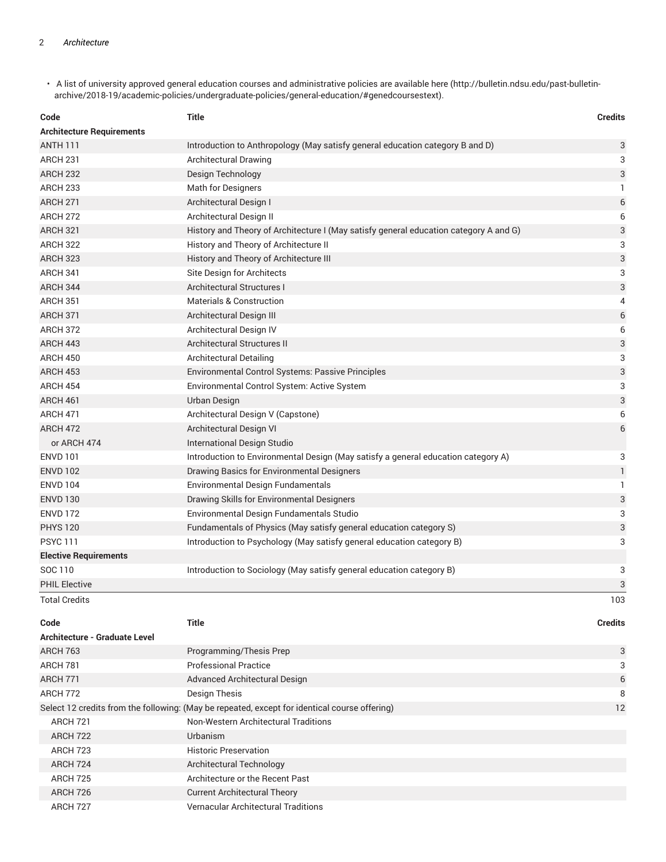• A list of university approved general education courses and administrative policies are available here (http://bulletin.ndsu.edu/past-bulletinarchive/2018-19/academic-policies/undergraduate-policies/general-education/#genedcoursestext).

| Code                             | <b>Title</b>                                                                          | <b>Credits</b> |
|----------------------------------|---------------------------------------------------------------------------------------|----------------|
| <b>Architecture Requirements</b> |                                                                                       |                |
| <b>ANTH 111</b>                  | Introduction to Anthropology (May satisfy general education category B and D)         | $\sqrt{3}$     |
| ARCH <sub>231</sub>              | Architectural Drawing                                                                 | 3              |
| <b>ARCH 232</b>                  | Design Technology                                                                     | 3              |
| ARCH <sub>233</sub>              | <b>Math for Designers</b>                                                             | $\mathbf{1}$   |
| <b>ARCH 271</b>                  | Architectural Design I                                                                | 6              |
| <b>ARCH 272</b>                  | Architectural Design II                                                               | 6              |
| <b>ARCH 321</b>                  | History and Theory of Architecture I (May satisfy general education category A and G) | 3              |
| <b>ARCH 322</b>                  | History and Theory of Architecture II                                                 | 3              |
| <b>ARCH 323</b>                  | History and Theory of Architecture III                                                | 3              |
| ARCH 341                         | Site Design for Architects                                                            | 3              |
| ARCH 344                         | Architectural Structures I                                                            | 3              |
| <b>ARCH 351</b>                  | <b>Materials &amp; Construction</b>                                                   | 4              |
| <b>ARCH 371</b>                  | Architectural Design III                                                              | 6              |
| ARCH 372                         | Architectural Design IV                                                               | 6              |
| ARCH 443                         | Architectural Structures II                                                           | 3              |
| <b>ARCH 450</b>                  | <b>Architectural Detailing</b>                                                        | 3              |
| <b>ARCH 453</b>                  | Environmental Control Systems: Passive Principles                                     | 3              |
| <b>ARCH 454</b>                  | Environmental Control System: Active System                                           | 3              |
| ARCH 461                         | Urban Design                                                                          | 3              |
| <b>ARCH 471</b>                  | Architectural Design V (Capstone)                                                     | 6              |
| <b>ARCH 472</b>                  | Architectural Design VI                                                               | 6              |
| or ARCH 474                      | International Design Studio                                                           |                |
| <b>ENVD 101</b>                  | Introduction to Environmental Design (May satisfy a general education category A)     | 3              |
| <b>ENVD 102</b>                  | Drawing Basics for Environmental Designers                                            | $\mathbf{1}$   |
| <b>ENVD 104</b>                  | <b>Environmental Design Fundamentals</b>                                              | $\mathbf{1}$   |
| <b>ENVD 130</b>                  | Drawing Skills for Environmental Designers                                            | 3              |
| <b>ENVD 172</b>                  | Environmental Design Fundamentals Studio                                              | 3              |
| <b>PHYS 120</b>                  | Fundamentals of Physics (May satisfy general education category S)                    | 3              |
| <b>PSYC111</b>                   | Introduction to Psychology (May satisfy general education category B)                 | 3              |
| <b>Elective Requirements</b>     |                                                                                       |                |
| SOC 110                          | Introduction to Sociology (May satisfy general education category B)                  | 3              |
| <b>PHIL Elective</b>             |                                                                                       | 3              |
| <b>Total Credits</b>             |                                                                                       | 103            |
| Code                             | <b>Title</b>                                                                          | <b>Credits</b> |

| Architecture - Graduate Level |                                                                                               |    |
|-------------------------------|-----------------------------------------------------------------------------------------------|----|
| <b>ARCH 763</b>               | Programming/Thesis Prep                                                                       | 3  |
| ARCH 781                      | <b>Professional Practice</b>                                                                  | 3  |
| <b>ARCH 771</b>               | Advanced Architectural Design                                                                 | 6  |
| ARCH 772                      | Design Thesis                                                                                 | 8  |
|                               | Select 12 credits from the following: (May be repeated, except for identical course offering) | 12 |
| <b>ARCH 721</b>               | Non-Western Architectural Traditions                                                          |    |
| ARCH 722                      | Urbanism                                                                                      |    |
| <b>ARCH 723</b>               | <b>Historic Preservation</b>                                                                  |    |
| ARCH 724                      | Architectural Technology                                                                      |    |
| <b>ARCH 725</b>               | Architecture or the Recent Past                                                               |    |
| ARCH 726                      | <b>Current Architectural Theory</b>                                                           |    |
| ARCH 727                      | <b>Vernacular Architectural Traditions</b>                                                    |    |